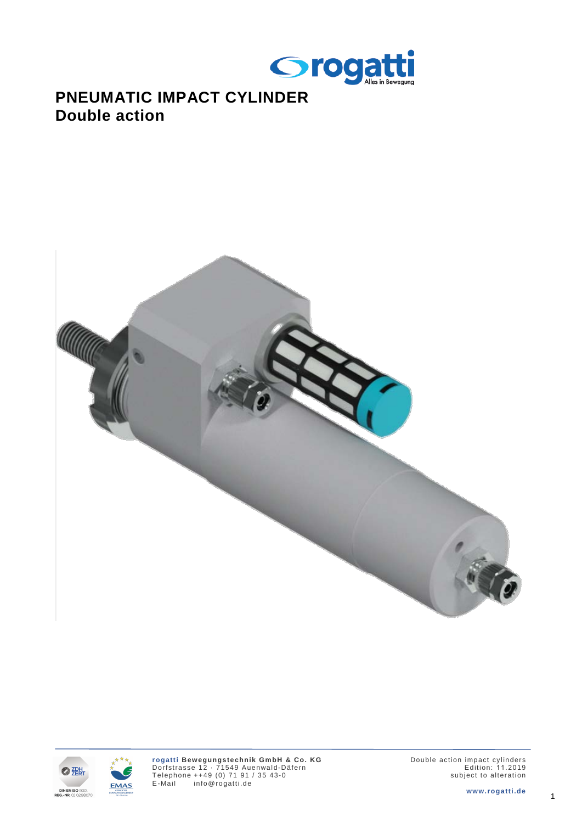

## **PNEUMATIC IMPACT CYLINDER Double action**





EMAS

Double action impact cylinders Edition: 1 1.2019 subject to alteration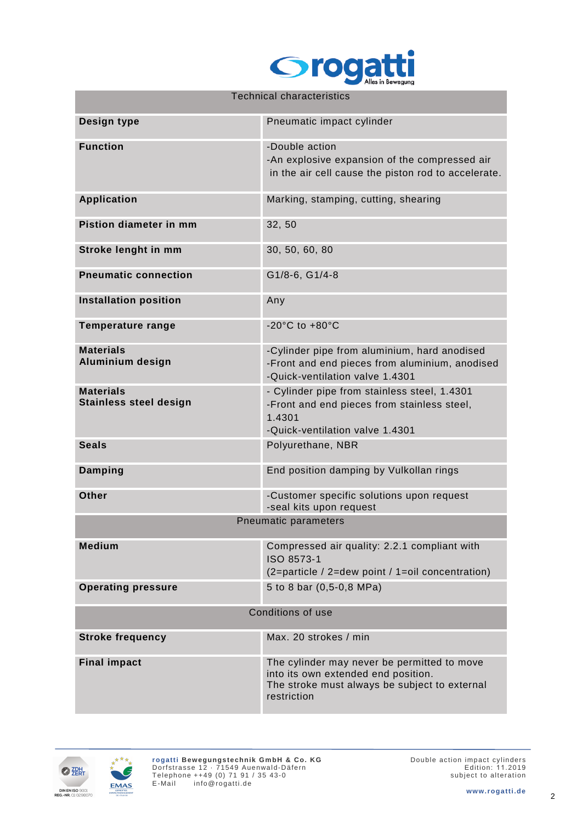

| <b>Technical characteristics</b>                  |                                                                                                                                                    |  |  |  |  |  |  |  |
|---------------------------------------------------|----------------------------------------------------------------------------------------------------------------------------------------------------|--|--|--|--|--|--|--|
| Design type                                       | Pneumatic impact cylinder                                                                                                                          |  |  |  |  |  |  |  |
| <b>Function</b>                                   | -Double action<br>-An explosive expansion of the compressed air<br>in the air cell cause the piston rod to accelerate.                             |  |  |  |  |  |  |  |
| <b>Application</b>                                | Marking, stamping, cutting, shearing                                                                                                               |  |  |  |  |  |  |  |
| Pistion diameter in mm                            | 32, 50                                                                                                                                             |  |  |  |  |  |  |  |
| Stroke lenght in mm                               | 30, 50, 60, 80                                                                                                                                     |  |  |  |  |  |  |  |
| <b>Pneumatic connection</b>                       | G1/8-6, G1/4-8                                                                                                                                     |  |  |  |  |  |  |  |
| <b>Installation position</b>                      | Any                                                                                                                                                |  |  |  |  |  |  |  |
| <b>Temperature range</b>                          | -20 $^{\circ}$ C to +80 $^{\circ}$ C                                                                                                               |  |  |  |  |  |  |  |
| <b>Materials</b><br><b>Aluminium design</b>       | -Cylinder pipe from aluminium, hard anodised<br>-Front and end pieces from aluminium, anodised<br>-Quick-ventilation valve 1.4301                  |  |  |  |  |  |  |  |
| <b>Materials</b><br><b>Stainless steel design</b> | - Cylinder pipe from stainless steel, 1.4301<br>-Front and end pieces from stainless steel,<br>1.4301<br>-Quick-ventilation valve 1.4301           |  |  |  |  |  |  |  |
| <b>Seals</b>                                      | Polyurethane, NBR                                                                                                                                  |  |  |  |  |  |  |  |
| <b>Damping</b>                                    | End position damping by Vulkollan rings                                                                                                            |  |  |  |  |  |  |  |
| Other                                             | -Customer specific solutions upon request<br>-seal kits upon request                                                                               |  |  |  |  |  |  |  |
|                                                   | Pneumatic parameters                                                                                                                               |  |  |  |  |  |  |  |
| <b>Medium</b>                                     | Compressed air quality: 2.2.1 compliant with<br>ISO 8573-1<br>(2=particle / 2=dew point / 1=oil concentration)                                     |  |  |  |  |  |  |  |
| <b>Operating pressure</b>                         | 5 to 8 bar (0,5-0,8 MPa)                                                                                                                           |  |  |  |  |  |  |  |
| Conditions of use                                 |                                                                                                                                                    |  |  |  |  |  |  |  |
| <b>Stroke frequency</b>                           | Max. 20 strokes / min                                                                                                                              |  |  |  |  |  |  |  |
| <b>Final impact</b>                               | The cylinder may never be permitted to move<br>into its own extended end position.<br>The stroke must always be subject to external<br>restriction |  |  |  |  |  |  |  |



EMAS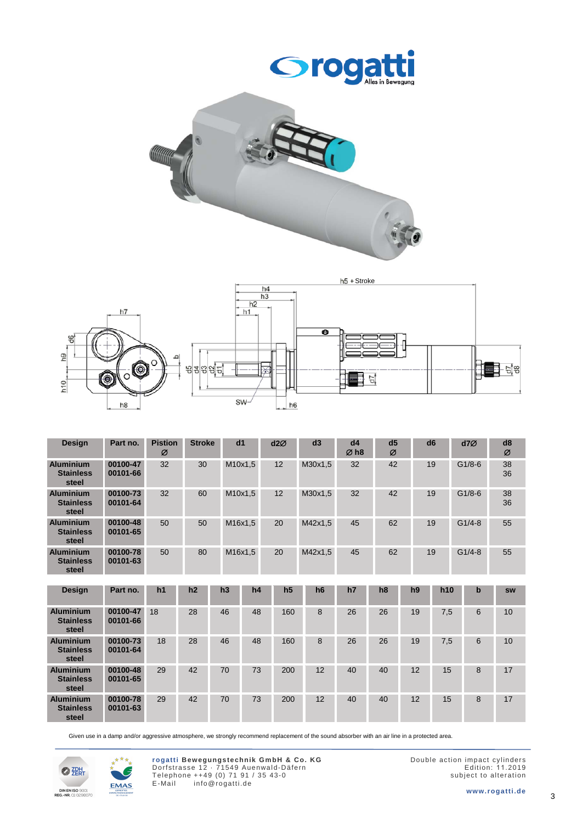





| <b>Design</b>                                 | Part no.             | <b>Pistion</b><br>Ø | <b>Stroke</b> | dd1     |    | d2Ø            | d3      | dd4<br>$\varnothing$ h <sub>8</sub> | d <sub>5</sub><br>Ø |    | d <sub>6</sub>  | d7Ø         | d8<br>Ø   |
|-----------------------------------------------|----------------------|---------------------|---------------|---------|----|----------------|---------|-------------------------------------|---------------------|----|-----------------|-------------|-----------|
| <b>Aluminium</b><br><b>Stainless</b><br>steel | 00100-47<br>00101-66 | 32                  | 30            | M10x1,5 |    | 12             | M30x1,5 | 32                                  | 42                  |    | 19              | $G1/8-6$    | 38<br>36  |
| <b>Aluminium</b><br><b>Stainless</b><br>steel | 00100-73<br>00101-64 | 32                  | 60            | M10x1,5 |    | 12             | M30x1,5 | 32                                  | 42                  |    | 19              | $G1/8-6$    | 38<br>36  |
| <b>Aluminium</b><br><b>Stainless</b><br>steel | 00100-48<br>00101-65 | 50                  | 50            | M16x1,5 |    | 20             | M42x1,5 | 45                                  | 62                  | 19 |                 | $G1/4-8$    | 55        |
| <b>Aluminium</b><br><b>Stainless</b><br>steel | 00100-78<br>00101-63 | 50                  | 80            | M16x1,5 |    | 20             | M42x1,5 | 45                                  | 62                  | 19 |                 | $G1/4-8$    | 55        |
|                                               |                      |                     |               |         |    |                |         |                                     |                     |    |                 |             |           |
| <b>Design</b>                                 | Part no.             | h1                  | h2            | h3      | h4 | h <sub>5</sub> | h6      | h7                                  | h <sub>8</sub>      | h9 | h <sub>10</sub> | $\mathbf b$ | <b>SW</b> |
| <b>Aluminium</b><br><b>Stainless</b><br>steel | 00100-47<br>00101-66 | 18                  | 28            | 46      | 48 | 160            | 8       | 26                                  | 26                  | 19 | 7,5             | 6           | 10        |
| <b>Aluminium</b><br><b>Stainless</b><br>steel | 00100-73<br>00101-64 | 18                  | 28            | 46      | 48 | 160            | 8       | 26                                  | 26                  | 19 | 7,5             | 6           | 10        |
| <b>Aluminium</b><br><b>Stainless</b><br>steel | 00100-48<br>00101-65 | 29                  | 42            | 70      | 73 | 200            | 12      | 40                                  | 40                  | 12 | 15              | 8           | 17        |
| <b>Aluminium</b>                              | 00100-78             | 29                  | 42            | 70      | 73 | 200            | 12      | 40                                  | 40                  | 12 | 15              | 8           | 17        |

Given use in a damp and/or aggressive atmosphere, we strongly recommend replacement of the sound absorber with an air line in a protected area.



**Stainless steel**

**00101-63**



Double action impact cylinders Edition: 1 1.2019 subject to alteration